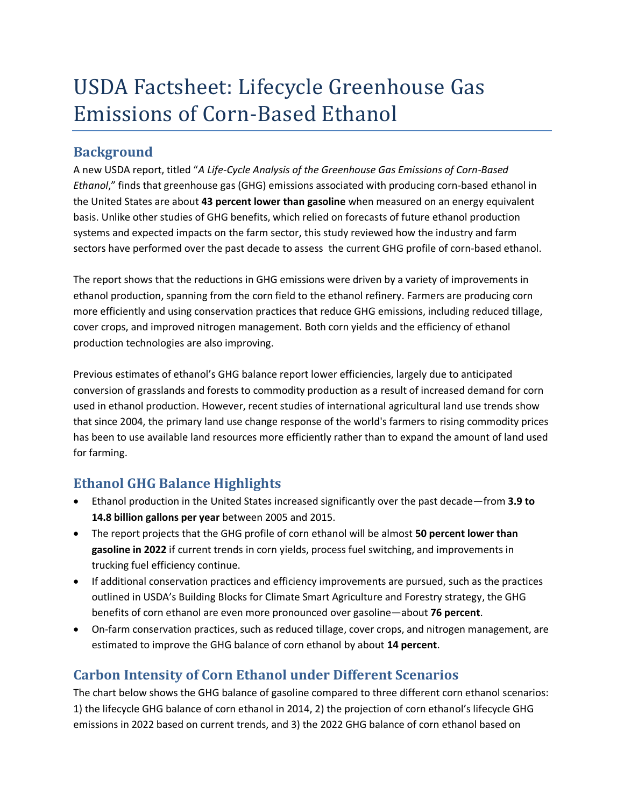## USDA Factsheet: Lifecycle Greenhouse Gas Emissions of Corn-Based Ethanol

## **Background**

A new USDA report, titled "*A Life-Cycle Analysis of the Greenhouse Gas Emissions of Corn-Based Ethanol*," finds that greenhouse gas (GHG) emissions associated with producing corn-based ethanol in the United States are about **43 percent lower than gasoline** when measured on an energy equivalent basis. Unlike other studies of GHG benefits, which relied on forecasts of future ethanol production systems and expected impacts on the farm sector, this study reviewed how the industry and farm sectors have performed over the past decade to assess the current GHG profile of corn-based ethanol.

The report shows that the reductions in GHG emissions were driven by a variety of improvements in ethanol production, spanning from the corn field to the ethanol refinery. Farmers are producing corn more efficiently and using conservation practices that reduce GHG emissions, including reduced tillage, cover crops, and improved nitrogen management. Both corn yields and the efficiency of ethanol production technologies are also improving.

Previous estimates of ethanol's GHG balance report lower efficiencies, largely due to anticipated conversion of grasslands and forests to commodity production as a result of increased demand for corn used in ethanol production. However, recent studies of international agricultural land use trends show that since 2004, the primary land use change response of the world's farmers to rising commodity prices has been to use available land resources more efficiently rather than to expand the amount of land used for farming.

## **Ethanol GHG Balance Highlights**

- Ethanol production in the United States increased significantly over the past decade—from **3.9 to 14.8 billion gallons per year** between 2005 and 2015.
- The report projects that the GHG profile of corn ethanol will be almost **50 percent lower than gasoline in 2022** if current trends in corn yields, process fuel switching, and improvements in trucking fuel efficiency continue.
- If additional conservation practices and efficiency improvements are pursued, such as the practices outlined in USDA's Building Blocks for Climate Smart Agriculture and Forestry strategy, the GHG benefits of corn ethanol are even more pronounced over gasoline—about **76 percent**.
- On-farm conservation practices, such as reduced tillage, cover crops, and nitrogen management, are estimated to improve the GHG balance of corn ethanol by about **14 percent**.

## **Carbon Intensity of Corn Ethanol under Different Scenarios**

The chart below shows the GHG balance of gasoline compared to three different corn ethanol scenarios: 1) the lifecycle GHG balance of corn ethanol in 2014, 2) the projection of corn ethanol's lifecycle GHG emissions in 2022 based on current trends, and 3) the 2022 GHG balance of corn ethanol based on